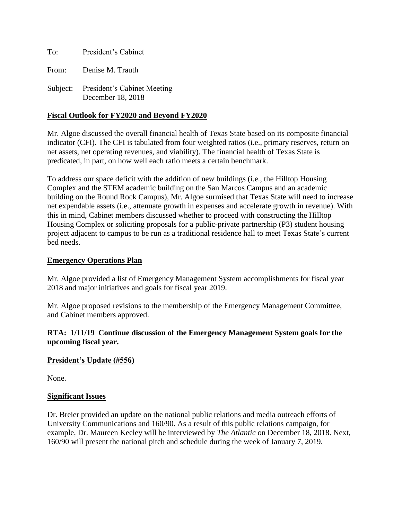To: President's Cabinet From: Denise M. Trauth

Subject: President's Cabinet Meeting December 18, 2018

## **Fiscal Outlook for FY2020 and Beyond FY2020**

Mr. Algoe discussed the overall financial health of Texas State based on its composite financial indicator (CFI). The CFI is tabulated from four weighted ratios (i.e., primary reserves, return on net assets, net operating revenues, and viability). The financial health of Texas State is predicated, in part, on how well each ratio meets a certain benchmark.

To address our space deficit with the addition of new buildings (i.e., the Hilltop Housing Complex and the STEM academic building on the San Marcos Campus and an academic building on the Round Rock Campus), Mr. Algoe surmised that Texas State will need to increase net expendable assets (i.e., attenuate growth in expenses and accelerate growth in revenue). With this in mind, Cabinet members discussed whether to proceed with constructing the Hilltop Housing Complex or soliciting proposals for a public-private partnership (P3) student housing project adjacent to campus to be run as a traditional residence hall to meet Texas State's current bed needs.

#### **Emergency Operations Plan**

Mr. Algoe provided a list of Emergency Management System accomplishments for fiscal year 2018 and major initiatives and goals for fiscal year 2019.

Mr. Algoe proposed revisions to the membership of the Emergency Management Committee, and Cabinet members approved.

### **RTA: 1/11/19 Continue discussion of the Emergency Management System goals for the upcoming fiscal year.**

#### **President's Update (#556)**

None.

#### **Significant Issues**

Dr. Breier provided an update on the national public relations and media outreach efforts of University Communications and 160/90. As a result of this public relations campaign, for example, Dr. Maureen Keeley will be interviewed by *The Atlantic* on December 18, 2018. Next, 160/90 will present the national pitch and schedule during the week of January 7, 2019.